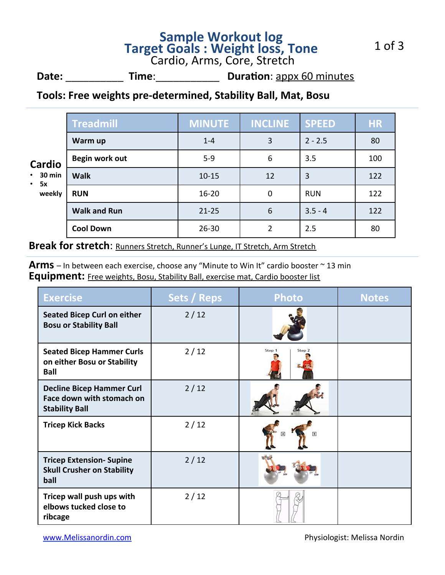# **Sample Workout log<br>
<b>Target Goals : Weight loss, Tone**<br>
Cardio, Arms, Core, Stretch

**Date:** \_\_\_\_\_\_\_\_\_\_\_\_\_\_\_ Time: \_\_\_\_\_\_\_\_\_\_\_\_\_\_\_\_ Duration: appx 60 minutes

### Tools: Free weights pre-determined, Stability Ball, Mat, Bosu

| <b>Cardio</b><br>$\cdot$ 30 min<br>• 5x<br>weekly | <b>Treadmill</b>    | <b>MINUTE</b> | <b>INCLINE</b> | <b>SPEED</b> | <b>HR</b> |
|---------------------------------------------------|---------------------|---------------|----------------|--------------|-----------|
|                                                   | Warm up             | $1 - 4$       | 3              | $2 - 2.5$    | 80        |
|                                                   | Begin work out      | $5 - 9$       | 6              | 3.5          | 100       |
|                                                   | <b>Walk</b>         | $10 - 15$     | 12             | 3            | 122       |
|                                                   | <b>RUN</b>          | $16 - 20$     | $\mathbf 0$    | <b>RUN</b>   | 122       |
|                                                   | <b>Walk and Run</b> | $21 - 25$     | 6              | $3.5 - 4$    | 122       |
|                                                   | <b>Cool Down</b>    | $26 - 30$     | 2              | 2.5          | 80        |

**Break for stretch**: **Runners Stretch, Runner's Lunge, IT Stretch**, Arm Stretch

**Arms** – In between each exercise, choose any "Minute to Win It" cardio booster ~ 13 min **Equipment:** Free weights, Bosu, Stability Ball, exercise mat, Cardio booster list

| <b>Exercise</b>                                                                        | <b>Sets / Reps</b> | <b>Photo</b>     | <b>Notes</b> |
|----------------------------------------------------------------------------------------|--------------------|------------------|--------------|
| <b>Seated Bicep Curl on either</b><br><b>Bosu or Stability Ball</b>                    | 2/12               |                  |              |
| <b>Seated Bicep Hammer Curls</b><br>on either Bosu or Stability<br><b>Ball</b>         | 2/12               | Step 1<br>Step 2 |              |
| <b>Decline Bicep Hammer Curl</b><br>Face down with stomach on<br><b>Stability Ball</b> | 2/12               |                  |              |
| <b>Tricep Kick Backs</b>                                                               | 2/12               |                  |              |
| <b>Tricep Extension- Supine</b><br><b>Skull Crusher on Stability</b><br>ball           | 2/12               |                  |              |
| Tricep wall push ups with<br>elbows tucked close to<br>ribcage                         | 2/12               |                  |              |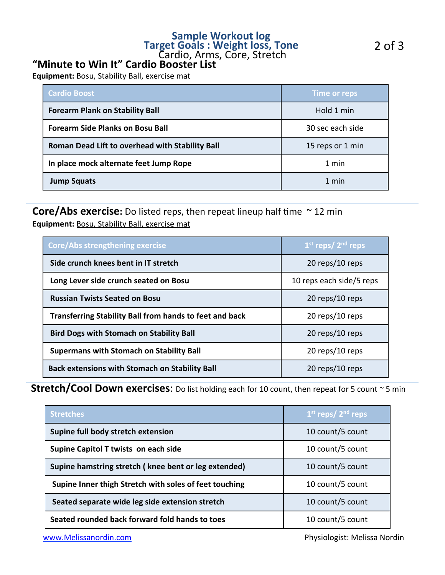## **Sample Workout log<br>
<b>Target Goals**: Weight loss, Tone<br>
Cardio, Arms, Core, Stretch

## "Minute to Win It" Cardio Booster List

**Equipment:** Bosu, Stability Ball, exercise mat

| <b>Cardio Boost</b>                             | <b>Time or reps</b> |  |
|-------------------------------------------------|---------------------|--|
| <b>Forearm Plank on Stability Ball</b>          | Hold 1 min          |  |
| <b>Forearm Side Planks on Bosu Ball</b>         | 30 sec each side    |  |
| Roman Dead Lift to overhead with Stability Ball | 15 reps or 1 min    |  |
| In place mock alternate feet Jump Rope          | 1 min               |  |
| <b>Jump Squats</b>                              | 1 min               |  |

### **Core/Abs exercise:** Do listed reps, then repeat lineup half time  $\sim$  12 min **Equipment:** Bosu, Stability Ball, exercise mat

| <b>Core/Abs strengthening exercise</b>                         | $1st$ reps/ $2nd$ reps   |  |
|----------------------------------------------------------------|--------------------------|--|
| Side crunch knees bent in IT stretch                           | 20 reps/10 reps          |  |
| Long Lever side crunch seated on Bosu                          | 10 reps each side/5 reps |  |
| <b>Russian Twists Seated on Bosu</b>                           | 20 reps/10 reps          |  |
| <b>Transferring Stability Ball from hands to feet and back</b> | 20 reps/10 reps          |  |
| <b>Bird Dogs with Stomach on Stability Ball</b>                | $20$ reps/10 reps        |  |
| <b>Supermans with Stomach on Stability Ball</b>                | $20$ reps/10 reps        |  |
| <b>Back extensions with Stomach on Stability Ball</b>          | 20 reps/10 reps          |  |

### **Stretch/Cool Down exercises:** Do list holding each for 10 count, then repeat for 5 count ~ 5 min

| <b>Stretches</b>                                       | $1st$ reps/ $2nd$ reps |  |
|--------------------------------------------------------|------------------------|--|
| Supine full body stretch extension                     | 10 count/5 count       |  |
| Supine Capitol T twists on each side                   | 10 count/5 count       |  |
| Supine hamstring stretch (knee bent or leg extended)   | 10 count/5 count       |  |
| Supine Inner thigh Stretch with soles of feet touching | 10 count/5 count       |  |
| Seated separate wide leg side extension stretch        | 10 count/5 count       |  |
| Seated rounded back forward fold hands to toes         | 10 count/5 count       |  |

www.Melissanordin.com **WARENOT COMENT COMENT COMENT COMENT COMENT COMENT COMENT COMENT COMENT COMENT COMENT COMENT COMENT COMENT COMENT COMENT COMENT COMENT COMENT COMENT COMENT COMENT COMENT COMENT COMENT COMENT COMENT CO**